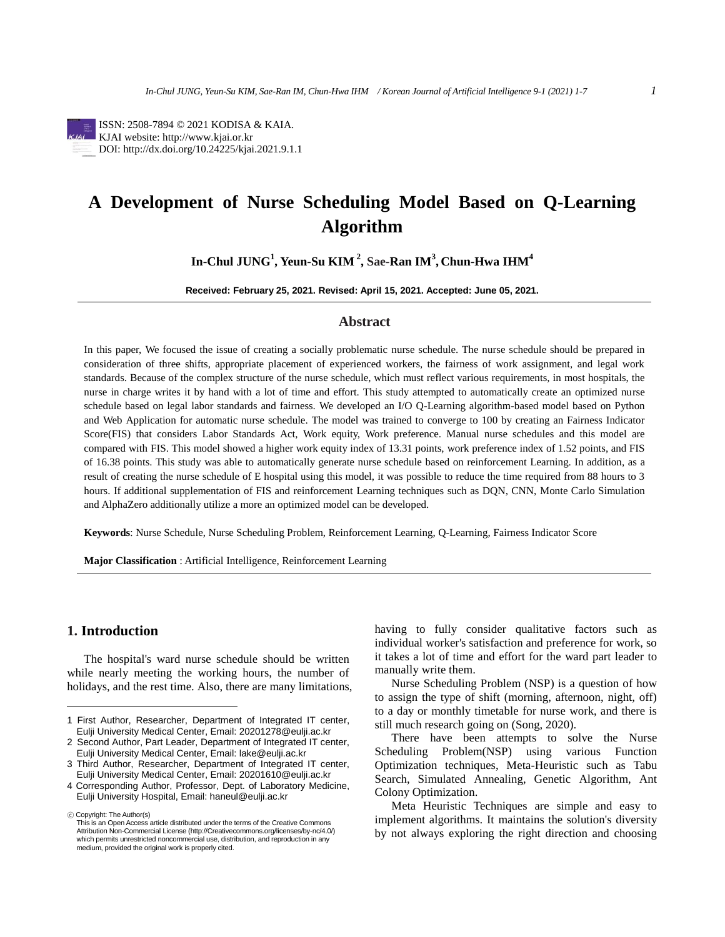ISSN: 2508-7894 © 2021 KODISA & KAIA. KJAI website: http://www.kjai.or.kr DOI: http://dx.doi.org/10.24225/kjai.2021.9.1.1

# **A Development of Nurse Scheduling Model Based on Q-Learning Algorithm**

**In-Chul JUNG<sup>1</sup> , Yeun-Su KIM <sup>2</sup> , Sae-Ran IM<sup>3</sup> , Chun-Hwa IHM<sup>4</sup>**

**Received: February 25, 2021. Revised: April 15, 2021. Accepted: June 05, 2021.**

# **Abstract**

In this paper, We focused the issue of creating a socially problematic nurse schedule. The nurse schedule should be prepared in consideration of three shifts, appropriate placement of experienced workers, the fairness of work assignment, and legal work standards. Because of the complex structure of the nurse schedule, which must reflect various requirements, in most hospitals, the nurse in charge writes it by hand with a lot of time and effort. This study attempted to automatically create an optimized nurse schedule based on legal labor standards and fairness. We developed an I/O Q-Learning algorithm-based model based on Python and Web Application for automatic nurse schedule. The model was trained to converge to 100 by creating an Fairness Indicator Score(FIS) that considers Labor Standards Act, Work equity, Work preference. Manual nurse schedules and this model are compared with FIS. This model showed a higher work equity index of 13.31 points, work preference index of 1.52 points, and FIS of 16.38 points. This study was able to automatically generate nurse schedule based on reinforcement Learning. In addition, as a result of creating the nurse schedule of E hospital using this model, it was possible to reduce the time required from 88 hours to 3 hours. If additional supplementation of FIS and reinforcement Learning techniques such as DQN, CNN, Monte Carlo Simulation and AlphaZero additionally utilize a more an optimized model can be developed.

**Keywords**: Nurse Schedule, Nurse Scheduling Problem, Reinforcement Learning, Q-Learning, Fairness Indicator Score

**Major Classification** : Artificial Intelligence, Reinforcement Learning

# **1. Introduction**

The hospital's ward nurse schedule should be written while nearly meeting the working hours, the number of holidays, and the rest time. Also, there are many limitations,

ⓒ Copyright: The Author(s)

having to fully consider qualitative factors such as individual worker's satisfaction and preference for work, so it takes a lot of time and effort for the ward part leader to manually write them.

Nurse Scheduling Problem (NSP) is a question of how to assign the type of shift (morning, afternoon, night, off) to a day or monthly timetable for nurse work, and there is still much research going on (Song, 2020).

There have been attempts to solve the Nurse Scheduling Problem(NSP) using various Function Optimization techniques, Meta-Heuristic such as Tabu Search, Simulated Annealing, Genetic Algorithm, Ant Colony Optimization.

Meta Heuristic Techniques are simple and easy to implement algorithms. It maintains the solution's diversity by not always exploring the right direction and choosing

<sup>1</sup> First Author, Researcher, Department of Integrated IT center, Eulji University Medical Center, Email: 20201278@eulji.ac.kr

<sup>2</sup> Second Author, Part Leader, Department of Integrated IT center, Eulji University Medical Center, Email: lake@eulji.ac.kr

<sup>3</sup> Third Author, Researcher, Department of Integrated IT center, Eulji University Medical Center, Email: 20201610@eulji.ac.kr

<sup>4</sup> Corresponding Author, Professor, Dept. of Laboratory Medicine, Eulji University Hospital, Email: haneul@eulji.ac.kr

This is an Open Access article distributed under the terms of the Creative Commons Attribution Non-Commercial License (http://Creativecommons.org/licenses/by-nc/4.0/) which permits unrestricted noncommercial use, distribution, and reproduction in any medium, provided the original work is properly cited.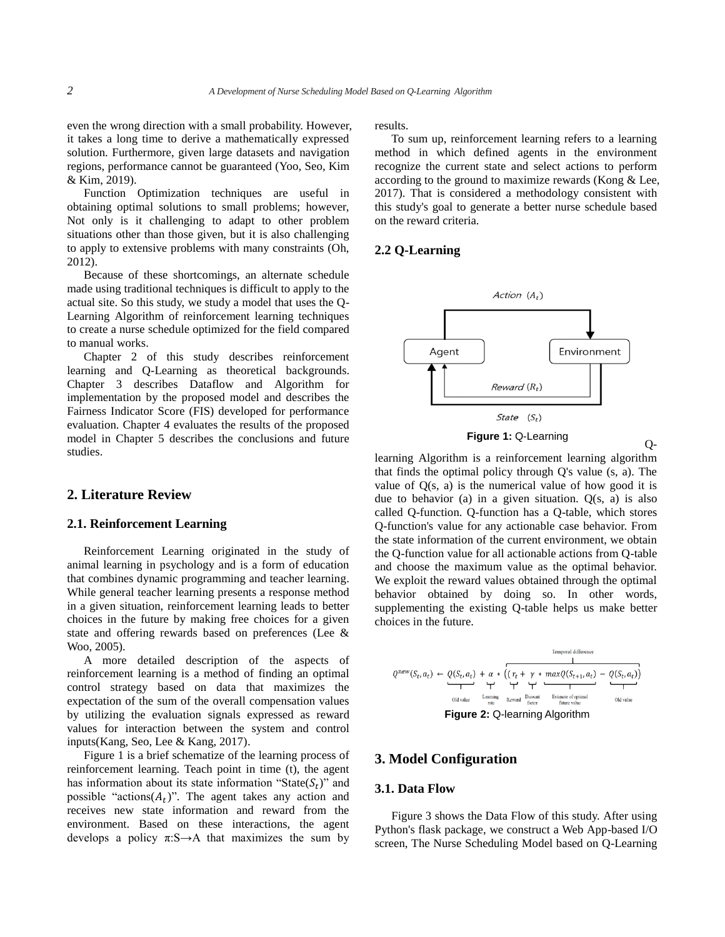even the wrong direction with a small probability. However, it takes a long time to derive a mathematically expressed solution. Furthermore, given large datasets and navigation regions, performance cannot be guaranteed (Yoo, Seo, Kim & Kim, 2019).

Function Optimization techniques are useful in obtaining optimal solutions to small problems; however, Not only is it challenging to adapt to other problem situations other than those given, but it is also challenging to apply to extensive problems with many constraints (Oh, 2012).

Because of these shortcomings, an alternate schedule made using traditional techniques is difficult to apply to the actual site. So this study, we study a model that uses the Q-Learning Algorithm of reinforcement learning techniques to create a nurse schedule optimized for the field compared to manual works.

Chapter 2 of this study describes reinforcement learning and Q-Learning as theoretical backgrounds. Chapter 3 describes Dataflow and Algorithm for implementation by the proposed model and describes the Fairness Indicator Score (FIS) developed for performance evaluation. Chapter 4 evaluates the results of the proposed model in Chapter 5 describes the conclusions and future studies.

# **2. Literature Review**

#### **2.1. Reinforcement Learning**

Reinforcement Learning originated in the study of animal learning in psychology and is a form of education that combines dynamic programming and teacher learning. While general teacher learning presents a response method in a given situation, reinforcement learning leads to better choices in the future by making free choices for a given state and offering rewards based on preferences (Lee & Woo, 2005).

A more detailed description of the aspects of reinforcement learning is a method of finding an optimal control strategy based on data that maximizes the expectation of the sum of the overall compensation values by utilizing the evaluation signals expressed as reward values for interaction between the system and control inputs(Kang, Seo, Lee & Kang, 2017).

Figure 1 is a brief schematize of the learning process of reinforcement learning. Teach point in time (t), the agent has information about its state information "State( $S_t$ )" and possible "actions( $A_t$ )". The agent takes any action and receives new state information and reward from the environment. Based on these interactions, the agent develops a policy  $\pi: S \rightarrow A$  that maximizes the sum by

results.

To sum up, reinforcement learning refers to a learning method in which defined agents in the environment recognize the current state and select actions to perform according to the ground to maximize rewards (Kong & Lee, 2017). That is considered a methodology consistent with this study's goal to generate a better nurse schedule based on the reward criteria.

## **2.2 Q-Learning**



learning Algorithm is a reinforcement learning algorithm that finds the optimal policy through Q's value (s, a). The value of  $Q(s, a)$  is the numerical value of how good it is due to behavior (a) in a given situation.  $Q(s, a)$  is also called Q-function. Q-function has a Q-table, which stores Q-function's value for any actionable case behavior. From the state information of the current environment, we obtain the Q-function value for all actionable actions from Q-table and choose the maximum value as the optimal behavior. We exploit the reward values obtained through the optimal behavior obtained by doing so. In other words, supplementing the existing Q-table helps us make better choices in the future.

| Temporal difference                                                                                                                           |
|-----------------------------------------------------------------------------------------------------------------------------------------------|
| \n $Q^{new}(S_t, a_t) \leftarrow Q(S_t, a_t) + \alpha * \overbrace{(r_t + \gamma * maxQ(S_{t+1}, a_t) - Q(S_t, a_t))}^{Tempal difference}$ \n |
| \n $Q^{new}(S_{t+1}, a_t) \leftarrow Q(S_t, a_t)$ \n                                                                                          |
| \n $Q^{new}(S_{t+1}, a_t) \leftarrow Q(S_t, a_t)$ \n                                                                                          |
| \n $Q^{new}(S_{t+1}, a_t) \leftarrow Q(S_t, a_t)$ \n                                                                                          |
| \n $Q^{new}(S_{t+1}, a_t) \leftarrow Q(S_t, a_t)$ \n                                                                                          |
| \n $Q^{new}(S_{t+1}, a_t) \leftarrow Q(S_t, a_t)$ \n                                                                                          |
| \n $Q^{new}(S_{t+1}, a_t) \leftarrow Q(S_t, a_t)$ \n                                                                                          |
| \n $Q^{new}(S_{t+1}, a_t) \leftarrow Q(S_t, a_t)$ \n                                                                                          |
| \n $Q^{new}(S_{t+1}, a_t) \leftarrow Q(S_t, a_t)$ \n                                                                                          |
| \n $Q^{new}(S_{t+1}, a_t) \leftarrow Q(S_t, a_t)$ \n                                                                                          |
| \n $Q^{new}(S_{t+1}, a_t) \leftarrow Q(S_t, a_t)$ \n                                                                                          |
| \n $Q^{new}(S_{t+1}, a_t) \leftarrow Q(S_t, a_t)$ \n                                                                                          |
| \n $Q^{new}(S_{t+1}, a_t) \leftarrow Q(S_t, a_t)$ \n                                                                                          |
| \n $Q^{new}(S_{t+1}, a_t) \leftarrow Q(S_t, a_t)$ \n                                                                                          |
| \n $Q^{new}(S_{t+1}, a_t) \leftarrow Q(S_t, a_t)$ \n                                                                                          |
| \n $Q^{new}(S_{t+1}, a_t) \leftarrow Q(S_t, a_t)$ \n                                                                                          |
| \n $Q^{new}(S_{t+1$                                                                                                                           |

# **3. Model Configuration**

## **3.1. Data Flow**

Figure 3 shows the Data Flow of this study. After using Python's flask package, we construct a Web App-based I/O screen, The Nurse Scheduling Model based on Q-Learning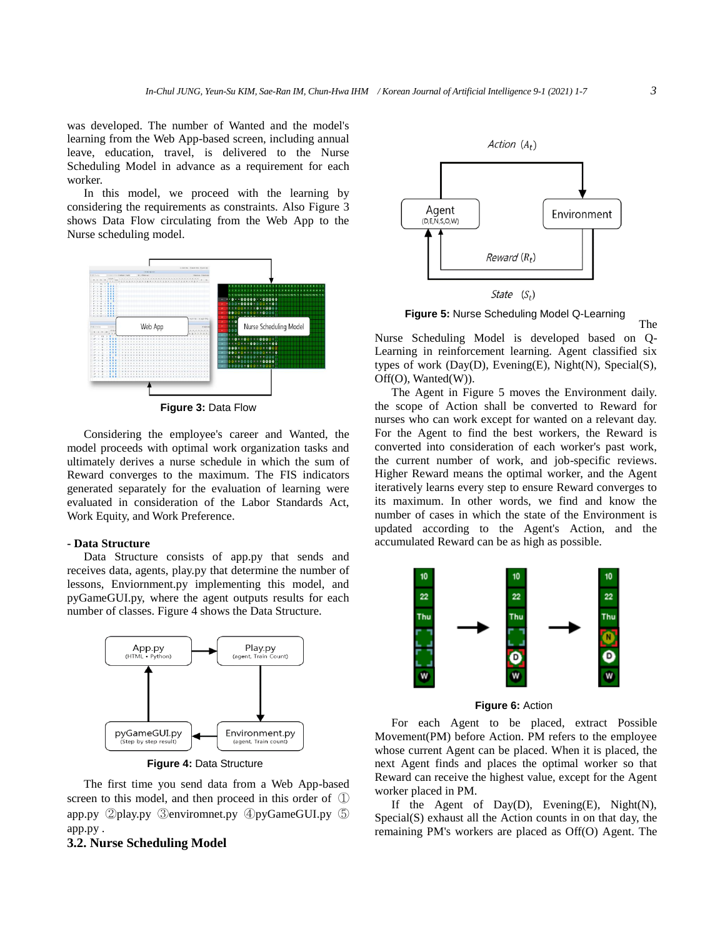was developed. The number of Wanted and the model's learning from the Web App-based screen, including annual leave, education, travel, is delivered to the Nurse Scheduling Model in advance as a requirement for each worker.

In this model, we proceed with the learning by considering the requirements as constraints. Also Figure 3 shows Data Flow circulating from the Web App to the Nurse scheduling model.



**Figure 3:** Data Flow

Considering the employee's career and Wanted, the model proceeds with optimal work organization tasks and ultimately derives a nurse schedule in which the sum of Reward converges to the maximum. The FIS indicators generated separately for the evaluation of learning were evaluated in consideration of the Labor Standards Act, Work Equity, and Work Preference.

## **- Data Structure**

Data Structure consists of app.py that sends and receives data, agents, play.py that determine the number of lessons, Enviornment.py implementing this model, and pyGameGUI.py, where the agent outputs results for each number of classes. Figure 4 shows the Data Structure.



**Figure 4:** Data Structure

The first time you send data from a Web App-based screen to this model, and then proceed in this order of ① app.py ②play.py ③enviromnet.py ④pyGameGUI.py ⑤ app.py .

#### **3.2. Nurse Scheduling Model**



**Figure 5:** Nurse Scheduling Model Q-Learning

Nurse Scheduling Model is developed based on Q-Learning in reinforcement learning. Agent classified six types of work (Day(D), Evening(E), Night(N), Special(S), Off(O), Wanted(W)).

The Agent in Figure 5 moves the Environment daily. the scope of Action shall be converted to Reward for nurses who can work except for wanted on a relevant day. For the Agent to find the best workers, the Reward is converted into consideration of each worker's past work, the current number of work, and job-specific reviews. Higher Reward means the optimal worker, and the Agent iteratively learns every step to ensure Reward converges to its maximum. In other words, we find and know the number of cases in which the state of the Environment is updated according to the Agent's Action, and the accumulated Reward can be as high as possible.



**Figure 6:** Action

For each Agent to be placed, extract Possible Movement(PM) before Action. PM refers to the employee whose current Agent can be placed. When it is placed, the next Agent finds and places the optimal worker so that Reward can receive the highest value, except for the Agent worker placed in PM.

If the Agent of Day(D), Evening(E), Night(N), Special(S) exhaust all the Action counts in on that day, the remaining PM's workers are placed as Off(O) Agent. The

The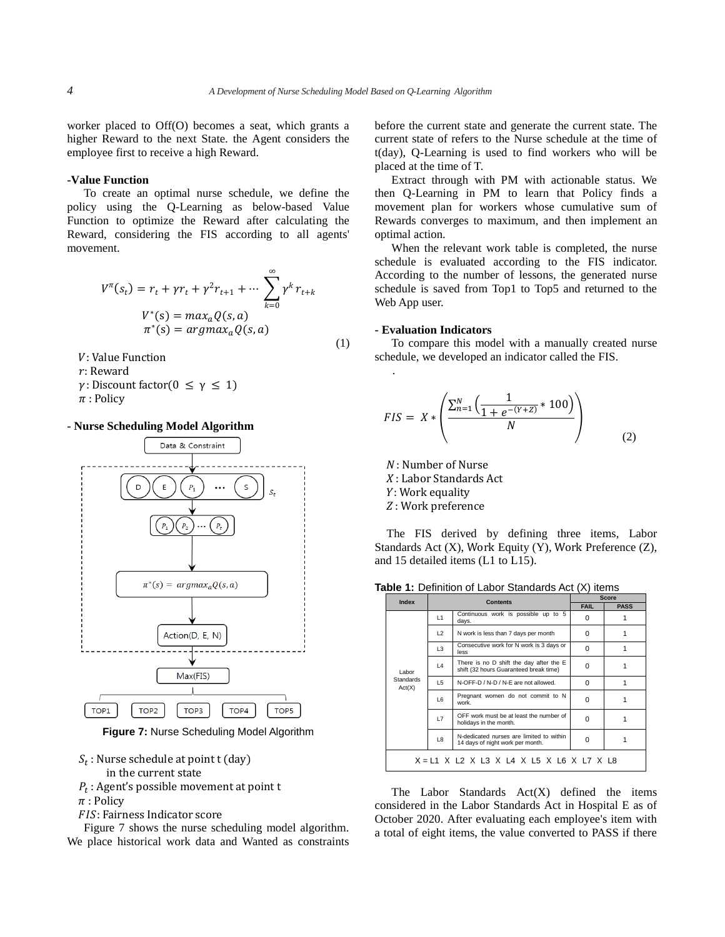worker placed to Off(O) becomes a seat, which grants a higher Reward to the next State. the Agent considers the employee first to receive a high Reward.

#### **-Value Function**

To create an optimal nurse schedule, we define the policy using the Q-Learning as below-based Value Function to optimize the Reward after calculating the Reward, considering the FIS according to all agents' movement.

$$
V^{\pi}(s_t) = r_t + \gamma r_t + \gamma^2 r_{t+1} + \cdots \sum_{k=0}^{\infty} \gamma^k r_{t+k}
$$
  

$$
V^*(s) = \max_a Q(s, a)
$$
  

$$
\pi^*(s) = \operatorname{argmax}_a Q(s, a)
$$
 (1)

: Value Function

: Reward

 $\gamma$ : Discount factor( $0 \leq \gamma \leq 1$ )  $\pi$ : Policy

#### **- Nurse Scheduling Model Algorithm**



**Figure 7:** Nurse Scheduling Model Algorithm

 $S_t$ : Nurse schedule at point t (day)

in the current state

 $P_t$ : Agent's possible movement at point t

 $\pi$ : Policy

FIS: Fairness Indicator score

Figure 7 shows the nurse scheduling model algorithm. We place historical work data and Wanted as constraints before the current state and generate the current state. The current state of refers to the Nurse schedule at the time of t(day), Q-Learning is used to find workers who will be placed at the time of T.

Extract through with PM with actionable status. We then Q-Learning in PM to learn that Policy finds a movement plan for workers whose cumulative sum of Rewards converges to maximum, and then implement an optimal action.

When the relevant work table is completed, the nurse schedule is evaluated according to the FIS indicator. According to the number of lessons, the generated nurse schedule is saved from Top1 to Top5 and returned to the Web App user.

### **- Evaluation Indicators**

.

To compare this model with a manually created nurse schedule, we developed an indicator called the FIS.

$$
FIS = X * \left( \frac{\sum_{n=1}^{N} \left( \frac{1}{1 + e^{-(Y+Z)}} * 100 \right)}{N} \right)
$$
(2)

: Number of Nurse

: Labor Standards Act

: Work equality

: Work preference

The FIS derived by defining three items, Labor Standards Act (X), Work Equity (Y), Work Preference (Z), and 15 detailed items (L1 to L15).

**Table 1:** Definition of Labor Standards Act (X) items

| Index                                     | <b>Contents</b> |                                                                                   | Score       |             |  |
|-------------------------------------------|-----------------|-----------------------------------------------------------------------------------|-------------|-------------|--|
|                                           |                 |                                                                                   | <b>FAIL</b> | <b>PASS</b> |  |
| Labor<br><b>Standards</b><br>Act(X)       | L1              | Continuous work is possible up to 5<br>days.                                      | 0           |             |  |
|                                           | $\mathbf{L}$    | N work is less than 7 days per month                                              | 0           |             |  |
|                                           | L3              | Consecutive work for N work is 3 days or<br>less                                  | $\Omega$    |             |  |
|                                           | $\mathsf{L}4$   | There is no D shift the day after the E<br>shift (32 hours Guaranteed break time) | 0           |             |  |
|                                           | L5              | N-OFF-D / N-D / N-E are not allowed.                                              | $\Omega$    |             |  |
|                                           | <b>L6</b>       | Pregnant women do not commit to N<br>work.                                        | 0           |             |  |
|                                           | L7              | OFF work must be at least the number of<br>holidays in the month.                 | 0           |             |  |
|                                           | L8              | N-dedicated nurses are limited to within<br>14 days of night work per month.      | 0           |             |  |
| X = L1 X L2 X L3 X L4 X L5 X L6 X L7 X L8 |                 |                                                                                   |             |             |  |

The Labor Standards Act(X) defined the items considered in the Labor Standards Act in Hospital E as of October 2020. After evaluating each employee's item with a total of eight items, the value converted to PASS if there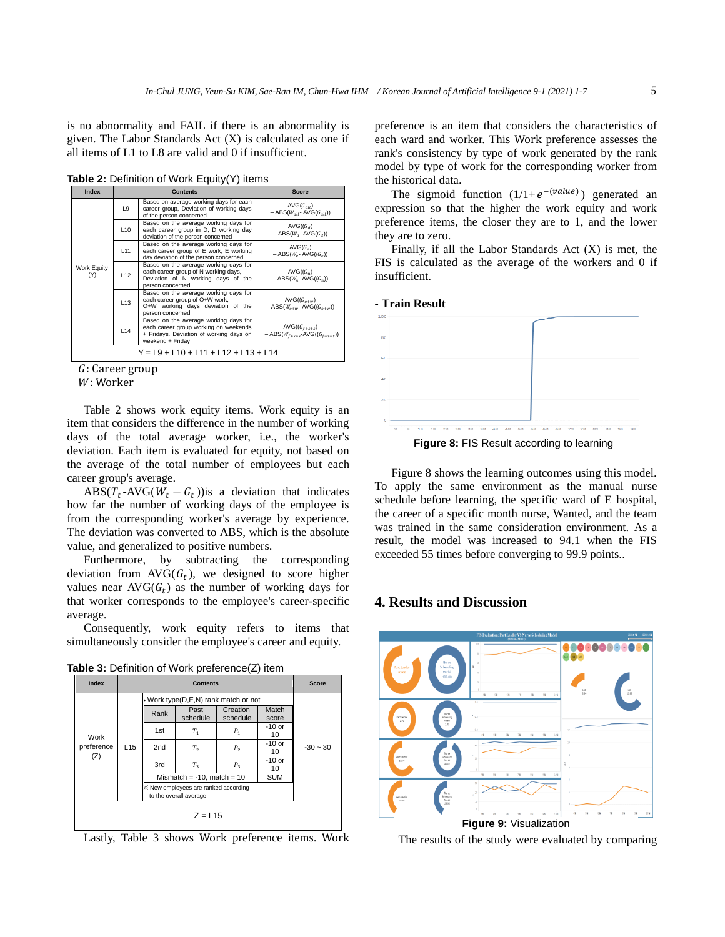is no abnormality and FAIL if there is an abnormality is given. The Labor Standards Act  $(X)$  is calculated as one if all items of L1 to L8 are valid and 0 if insufficient.

**Table 2:** Definition of Work Equity(Y) items

| <b>Index</b>       | <b>Contents</b> |                                                                                                                                               | <b>Score</b>                                                     |  |
|--------------------|-----------------|-----------------------------------------------------------------------------------------------------------------------------------------------|------------------------------------------------------------------|--|
| Work Equity<br>(Y) | L9              | Based on average working days for each<br>career group, Deviation of working days<br>of the person concerned                                  | $AVG(G_{all})$<br>$-$ ABS( $W_{all}$ - AVG( $G_{all}$ ))         |  |
|                    | L <sub>10</sub> | Based on the average working days for<br>each career group in D, D working day<br>deviation of the person concerned                           | $AVG((G_a))$<br>$-$ ABS( $W_d$ - AVG( $G_d$ ))                   |  |
|                    | L11             | Based on the average working days for<br>each career group of E work, E working<br>day deviation of the person concerned                      | $AVG(G_e)$<br>$-$ ABS( $W_e$ - AVG( $(G_e)$ )                    |  |
|                    | L12             | Based on the average working days for<br>each career group of N working days,<br>Deviation of N working days of the<br>person concerned       | $AVG((G_n))$<br>$-$ ABS( $W_n$ - AVG( $(G_n)$ )                  |  |
|                    | L <sub>13</sub> | Based on the average working days for<br>each career group of O+W work,<br>O+W working days deviation of the<br>person concerned              | AVG $((G_{\alpha+w})$<br>$-$ ABS( $W_{o+w}$ - AVG( $(G_{o+w})$ ) |  |
|                    | L14             | Based on the average working days for<br>each career group working on weekends<br>+ Fridays. Deviation of working days on<br>weekend + Friday | AVG( $(G_{f+s+s})$<br>$-$ ABS( $W_{r+s+s}$ -AVG( $(G_{r+s+s})$ ) |  |
|                    |                 | Y = L9 + L10 + L11 + L12 + L13 + L14                                                                                                          |                                                                  |  |

: Career group

W: Worker

Table 2 shows work equity items. Work equity is an item that considers the difference in the number of working days of the total average worker, i.e., the worker's deviation. Each item is evaluated for equity, not based on the average of the total number of employees but each career group's average.

ABS( $T_t$ -AVG( $W_t - G_t$ )) is a deviation that indicates how far the number of working days of the employee is from the corresponding worker's average by experience. The deviation was converted to ABS, which is the absolute value, and generalized to positive numbers.

Furthermore, by subtracting the corresponding deviation from  $AVG(G_t)$ , we designed to score higher values near  $AVG(G_t)$  as the number of working days for that worker corresponds to the employee's career-specific average.

Consequently, work equity refers to items that simultaneously consider the employee's career and equity.

| Table 3: Definition of Work preference(Z) item |  |  |
|------------------------------------------------|--|--|
|------------------------------------------------|--|--|



Lastly, Table 3 shows Work preference items. Work

preference is an item that considers the characteristics of each ward and worker. This Work preference assesses the rank's consistency by type of work generated by the rank model by type of work for the corresponding worker from the historical data.

The sigmoid function  $(1/1 + e^{-(value)})$  generated an expression so that the higher the work equity and work preference items, the closer they are to 1, and the lower they are to zero.

Finally, if all the Labor Standards Act  $(X)$  is met, the FIS is calculated as the average of the workers and 0 if insufficient.



Figure 8 shows the learning outcomes using this model. To apply the same environment as the manual nurse schedule before learning, the specific ward of E hospital, the career of a specific month nurse, Wanted, and the team was trained in the same consideration environment. As a result, the model was increased to 94.1 when the FIS exceeded 55 times before converging to 99.9 points..

# **4. Results and Discussion**



The results of the study were evaluated by comparing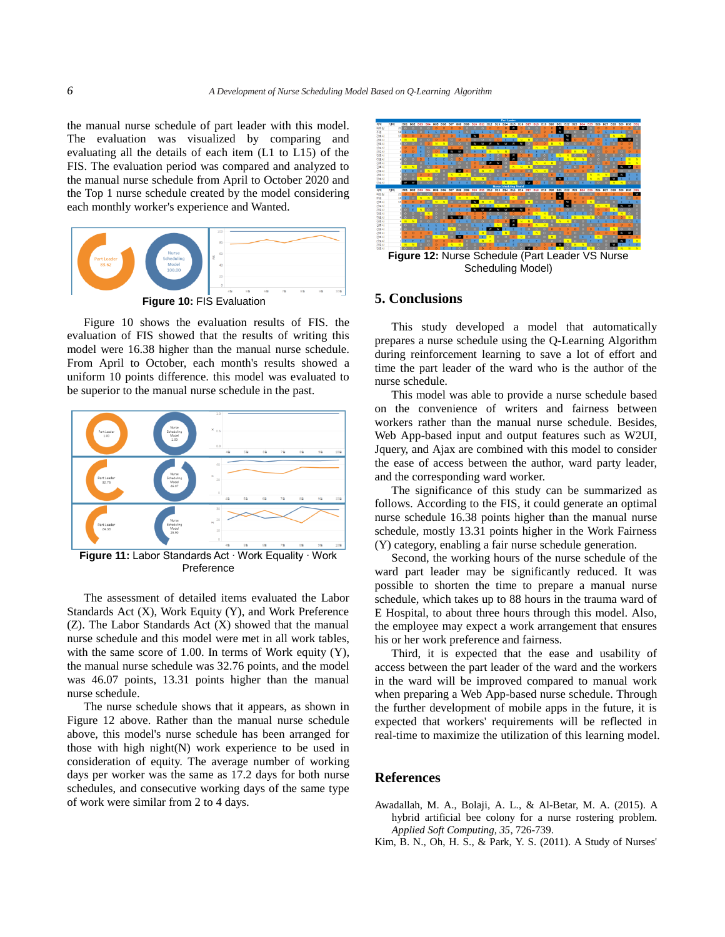the manual nurse schedule of part leader with this model. The evaluation was visualized by comparing and evaluating all the details of each item (L1 to L15) of the FIS. The evaluation period was compared and analyzed to the manual nurse schedule from April to October 2020 and the Top 1 nurse schedule created by the model considering each monthly worker's experience and Wanted.



Figure 10 shows the evaluation results of FIS. the evaluation of FIS showed that the results of writing this model were 16.38 higher than the manual nurse schedule. From April to October, each month's results showed a uniform 10 points difference. this model was evaluated to be superior to the manual nurse schedule in the past.



**Figure 11:** Labor Standards Act ∙ Work Equality ∙ Work Preference

The assessment of detailed items evaluated the Labor Standards Act (X), Work Equity (Y), and Work Preference (Z). The Labor Standards Act (X) showed that the manual nurse schedule and this model were met in all work tables, with the same score of 1.00. In terms of Work equity  $(Y)$ , the manual nurse schedule was 32.76 points, and the model was 46.07 points, 13.31 points higher than the manual nurse schedule.

The nurse schedule shows that it appears, as shown in Figure 12 above. Rather than the manual nurse schedule above, this model's nurse schedule has been arranged for those with high night(N) work experience to be used in consideration of equity. The average number of working days per worker was the same as 17.2 days for both nurse schedules, and consecutive working days of the same type of work were similar from 2 to 4 days.



Scheduling Model)

# **5. Conclusions**

This study developed a model that automatically prepares a nurse schedule using the Q-Learning Algorithm during reinforcement learning to save a lot of effort and time the part leader of the ward who is the author of the nurse schedule.

This model was able to provide a nurse schedule based on the convenience of writers and fairness between workers rather than the manual nurse schedule. Besides, Web App-based input and output features such as W2UI, Jquery, and Ajax are combined with this model to consider the ease of access between the author, ward party leader, and the corresponding ward worker.

The significance of this study can be summarized as follows. According to the FIS, it could generate an optimal nurse schedule 16.38 points higher than the manual nurse schedule, mostly 13.31 points higher in the Work Fairness (Y) category, enabling a fair nurse schedule generation.

Second, the working hours of the nurse schedule of the ward part leader may be significantly reduced. It was possible to shorten the time to prepare a manual nurse schedule, which takes up to 88 hours in the trauma ward of E Hospital, to about three hours through this model. Also, the employee may expect a work arrangement that ensures his or her work preference and fairness.

Third, it is expected that the ease and usability of access between the part leader of the ward and the workers in the ward will be improved compared to manual work when preparing a Web App-based nurse schedule. Through the further development of mobile apps in the future, it is expected that workers' requirements will be reflected in real-time to maximize the utilization of this learning model.

## **References**

Awadallah, M. A., Bolaji, A. L., & Al-Betar, M. A. (2015). A hybrid artificial bee colony for a nurse rostering problem*. Applied Soft Computing, 35*, 726-739.

Kim, B. N., Oh, H. S., & Park, Y. S. (2011). A Study of Nurses'